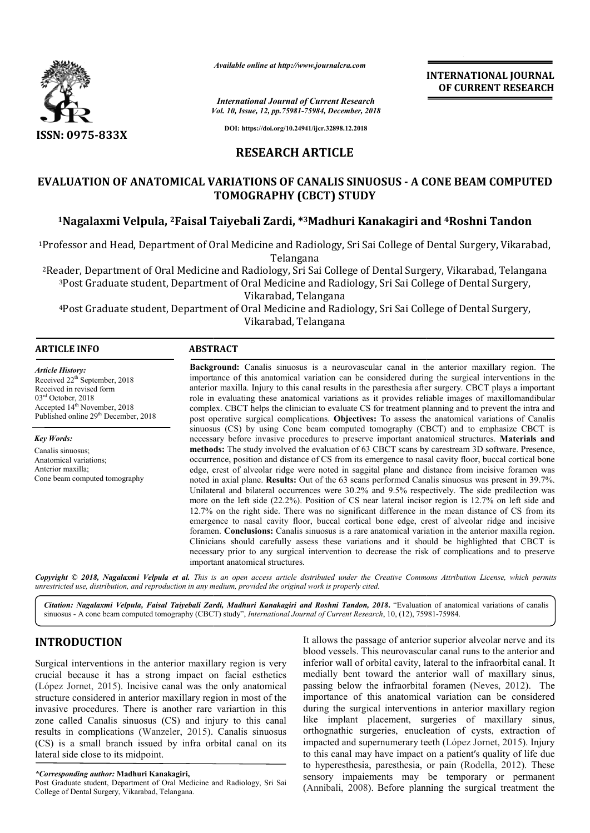

*Available online at http://www.journalcra.com*

## **RESEARCH ARTICLE**

# **EVALUATION OF ANATOMICAL VARIATIONS OF CANALIS SINUOSUS - A CONE BEAM COMPUTED TOMOGRAPHY (CBCT) STUDY**

# **1Nagalaxmi Velpula, 2Faisal Taiyebali Zardi, Faisal \*3Madhuri Kanakagiri and 4Roshni Tandon**

|                                                                                                                                                                                                                                                                                                                                                                                                                                                                                                                                                                                                                                            | <b>INTERNATIONAL JOURNAL</b><br>OF CURRENT RESEARCH                                                                                                                                                                                                                                                                                                                                                                                                                                                                                                                                                                                                                                                                                                                                                                                                                                                                                                                                                                                                                                                                                                                                                                                                                                                                                                                                                                                                                                                                                                                                                                                                                                                                                                                                                                                                                                                                                                                                                                                                                                                                                                                                                                                                                                                 |                                                                                                                                                                                                                                                                                                                                                                                                                                                                                                                                                                                                                                                                                                                                                                                                                                                              |  |  |  |  |  |
|--------------------------------------------------------------------------------------------------------------------------------------------------------------------------------------------------------------------------------------------------------------------------------------------------------------------------------------------------------------------------------------------------------------------------------------------------------------------------------------------------------------------------------------------------------------------------------------------------------------------------------------------|-----------------------------------------------------------------------------------------------------------------------------------------------------------------------------------------------------------------------------------------------------------------------------------------------------------------------------------------------------------------------------------------------------------------------------------------------------------------------------------------------------------------------------------------------------------------------------------------------------------------------------------------------------------------------------------------------------------------------------------------------------------------------------------------------------------------------------------------------------------------------------------------------------------------------------------------------------------------------------------------------------------------------------------------------------------------------------------------------------------------------------------------------------------------------------------------------------------------------------------------------------------------------------------------------------------------------------------------------------------------------------------------------------------------------------------------------------------------------------------------------------------------------------------------------------------------------------------------------------------------------------------------------------------------------------------------------------------------------------------------------------------------------------------------------------------------------------------------------------------------------------------------------------------------------------------------------------------------------------------------------------------------------------------------------------------------------------------------------------------------------------------------------------------------------------------------------------------------------------------------------------------------------------------------------------|--------------------------------------------------------------------------------------------------------------------------------------------------------------------------------------------------------------------------------------------------------------------------------------------------------------------------------------------------------------------------------------------------------------------------------------------------------------------------------------------------------------------------------------------------------------------------------------------------------------------------------------------------------------------------------------------------------------------------------------------------------------------------------------------------------------------------------------------------------------|--|--|--|--|--|
|                                                                                                                                                                                                                                                                                                                                                                                                                                                                                                                                                                                                                                            |                                                                                                                                                                                                                                                                                                                                                                                                                                                                                                                                                                                                                                                                                                                                                                                                                                                                                                                                                                                                                                                                                                                                                                                                                                                                                                                                                                                                                                                                                                                                                                                                                                                                                                                                                                                                                                                                                                                                                                                                                                                                                                                                                                                                                                                                                                     | <b>International Journal of Current Research</b><br>Vol. 10, Issue, 12, pp. 75981-75984, December, 2018                                                                                                                                                                                                                                                                                                                                                                                                                                                                                                                                                                                                                                                                                                                                                      |  |  |  |  |  |
| ISSN: 0975-833X                                                                                                                                                                                                                                                                                                                                                                                                                                                                                                                                                                                                                            |                                                                                                                                                                                                                                                                                                                                                                                                                                                                                                                                                                                                                                                                                                                                                                                                                                                                                                                                                                                                                                                                                                                                                                                                                                                                                                                                                                                                                                                                                                                                                                                                                                                                                                                                                                                                                                                                                                                                                                                                                                                                                                                                                                                                                                                                                                     | DOI: https://doi.org/10.24941/ijcr.32898.12.2018                                                                                                                                                                                                                                                                                                                                                                                                                                                                                                                                                                                                                                                                                                                                                                                                             |  |  |  |  |  |
|                                                                                                                                                                                                                                                                                                                                                                                                                                                                                                                                                                                                                                            | <b>RESEARCH ARTICLE</b>                                                                                                                                                                                                                                                                                                                                                                                                                                                                                                                                                                                                                                                                                                                                                                                                                                                                                                                                                                                                                                                                                                                                                                                                                                                                                                                                                                                                                                                                                                                                                                                                                                                                                                                                                                                                                                                                                                                                                                                                                                                                                                                                                                                                                                                                             |                                                                                                                                                                                                                                                                                                                                                                                                                                                                                                                                                                                                                                                                                                                                                                                                                                                              |  |  |  |  |  |
|                                                                                                                                                                                                                                                                                                                                                                                                                                                                                                                                                                                                                                            | <b>TOMOGRAPHY (CBCT) STUDY</b>                                                                                                                                                                                                                                                                                                                                                                                                                                                                                                                                                                                                                                                                                                                                                                                                                                                                                                                                                                                                                                                                                                                                                                                                                                                                                                                                                                                                                                                                                                                                                                                                                                                                                                                                                                                                                                                                                                                                                                                                                                                                                                                                                                                                                                                                      | <b>EVALUATION OF ANATOMICAL VARIATIONS OF CANALIS SINUOSUS - A CONE BEAM COMPUTED</b>                                                                                                                                                                                                                                                                                                                                                                                                                                                                                                                                                                                                                                                                                                                                                                        |  |  |  |  |  |
|                                                                                                                                                                                                                                                                                                                                                                                                                                                                                                                                                                                                                                            |                                                                                                                                                                                                                                                                                                                                                                                                                                                                                                                                                                                                                                                                                                                                                                                                                                                                                                                                                                                                                                                                                                                                                                                                                                                                                                                                                                                                                                                                                                                                                                                                                                                                                                                                                                                                                                                                                                                                                                                                                                                                                                                                                                                                                                                                                                     | <sup>1</sup> Nagalaxmi Velpula, <sup>2</sup> Faisal Taiyebali Zardi, *3Madhuri Kanakagiri and <sup>4</sup> Roshni Tandon                                                                                                                                                                                                                                                                                                                                                                                                                                                                                                                                                                                                                                                                                                                                     |  |  |  |  |  |
|                                                                                                                                                                                                                                                                                                                                                                                                                                                                                                                                                                                                                                            | Telangana                                                                                                                                                                                                                                                                                                                                                                                                                                                                                                                                                                                                                                                                                                                                                                                                                                                                                                                                                                                                                                                                                                                                                                                                                                                                                                                                                                                                                                                                                                                                                                                                                                                                                                                                                                                                                                                                                                                                                                                                                                                                                                                                                                                                                                                                                           | <sup>1</sup> Professor and Head, Department of Oral Medicine and Radiology, Sri Sai College of Dental Surgery, Vikarabad,                                                                                                                                                                                                                                                                                                                                                                                                                                                                                                                                                                                                                                                                                                                                    |  |  |  |  |  |
|                                                                                                                                                                                                                                                                                                                                                                                                                                                                                                                                                                                                                                            | Vikarabad, Telangana                                                                                                                                                                                                                                                                                                                                                                                                                                                                                                                                                                                                                                                                                                                                                                                                                                                                                                                                                                                                                                                                                                                                                                                                                                                                                                                                                                                                                                                                                                                                                                                                                                                                                                                                                                                                                                                                                                                                                                                                                                                                                                                                                                                                                                                                                | <sup>2</sup> Reader, Department of Oral Medicine and Radiology, Sri Sai College of Dental Surgery, Vikarabad, Telangana<br><sup>3</sup> Post Graduate student, Department of Oral Medicine and Radiology, Sri Sai College of Dental Surgery,<br>4Post Graduate student, Department of Oral Medicine and Radiology, Sri Sai College of Dental Surgery,                                                                                                                                                                                                                                                                                                                                                                                                                                                                                                        |  |  |  |  |  |
|                                                                                                                                                                                                                                                                                                                                                                                                                                                                                                                                                                                                                                            | Vikarabad, Telangana                                                                                                                                                                                                                                                                                                                                                                                                                                                                                                                                                                                                                                                                                                                                                                                                                                                                                                                                                                                                                                                                                                                                                                                                                                                                                                                                                                                                                                                                                                                                                                                                                                                                                                                                                                                                                                                                                                                                                                                                                                                                                                                                                                                                                                                                                |                                                                                                                                                                                                                                                                                                                                                                                                                                                                                                                                                                                                                                                                                                                                                                                                                                                              |  |  |  |  |  |
| <b>ARTICLE INFO</b>                                                                                                                                                                                                                                                                                                                                                                                                                                                                                                                                                                                                                        | <b>ABSTRACT</b>                                                                                                                                                                                                                                                                                                                                                                                                                                                                                                                                                                                                                                                                                                                                                                                                                                                                                                                                                                                                                                                                                                                                                                                                                                                                                                                                                                                                                                                                                                                                                                                                                                                                                                                                                                                                                                                                                                                                                                                                                                                                                                                                                                                                                                                                                     |                                                                                                                                                                                                                                                                                                                                                                                                                                                                                                                                                                                                                                                                                                                                                                                                                                                              |  |  |  |  |  |
| <b>Article History:</b><br>Received 22 <sup>th</sup> September, 2018<br>Received in revised form<br>03rd October, 2018<br>Accepted 14 <sup>th</sup> November, 2018<br>Published online 29 <sup>th</sup> December, 2018<br><b>Key Words:</b><br>Canalis sinuosus;<br>Anatomical variations;<br>Anterior maxilla;<br>Cone beam computed tomography                                                                                                                                                                                                                                                                                           | Background: Canalis sinuosus is a neurovascular canal in the anterior maxillary region. The<br>importance of this anatomical variation can be considered during the surgical interventions in the<br>anterior maxilla. Injury to this canal results in the paresthesia after surgery. CBCT plays a important<br>role in evaluating these anatomical variations as it provides reliable images of maxillomandibular<br>complex. CBCT helps the clinician to evaluate CS for treatment planning and to prevent the intra and<br>post operative surgical complications. Objectives: To assess the anatomical variations of Canalis<br>sinuosus (CS) by using Cone beam computed tomography (CBCT) and to emphasize CBCT is<br>necessary before invasive procedures to preserve important anatomical structures. Materials and<br>methods: The study involved the evaluation of 63 CBCT scans by carestream 3D software. Presence,<br>occurrence, position and distance of CS from its emergence to nasal cavity floor, buccal cortical bone<br>edge, crest of alveolar ridge were noted in saggital plane and distance from incisive foramen was<br>noted in axial plane. Results: Out of the 63 scans performed Canalis sinuosus was present in 39.7%.<br>Unilateral and bilateral occurrences were 30.2% and 9.5% respectively. The side predilection was<br>more on the left side (22.2%). Position of CS near lateral incisor region is 12.7% on left side and<br>12.7% on the right side. There was no significant difference in the mean distance of CS from its<br>emergence to nasal cavity floor, buccal cortical bone edge, crest of alveolar ridge and incisive<br>foramen. Conclusions: Canalis sinuosus is a rare anatomical variation in the anterior maxilla region.<br>Clinicians should carefully assess these variations and it should be highlighted that CBCT is<br>necessary prior to any surgical intervention to decrease the risk of complications and to preserve<br>important anatomical structures.<br>Copyright © 2018, Nagalaxmi Velpula et al. This is an open access article distributed under the Creative Commons Attribution License, which permits<br>unrestricted use, distribution, and reproduction in any medium, provided the original work is properly cited. |                                                                                                                                                                                                                                                                                                                                                                                                                                                                                                                                                                                                                                                                                                                                                                                                                                                              |  |  |  |  |  |
|                                                                                                                                                                                                                                                                                                                                                                                                                                                                                                                                                                                                                                            |                                                                                                                                                                                                                                                                                                                                                                                                                                                                                                                                                                                                                                                                                                                                                                                                                                                                                                                                                                                                                                                                                                                                                                                                                                                                                                                                                                                                                                                                                                                                                                                                                                                                                                                                                                                                                                                                                                                                                                                                                                                                                                                                                                                                                                                                                                     | Citation: Nagalaxmi Velpula, Faisal Taiyebali Zardi, Madhuri Kanakagiri and Roshni Tandon, 2018. "Evaluation of anatomical variations of canalis<br>sinuosus - A cone beam computed tomography (CBCT) study", International Journal of Current Research, 10, (12), 75981-75984.                                                                                                                                                                                                                                                                                                                                                                                                                                                                                                                                                                              |  |  |  |  |  |
| <b>INTRODUCTION</b><br>Surgical interventions in the anterior maxillary region is very<br>crucial because it has a strong impact on facial esthetics<br>(López Jornet, 2015). Incisive canal was the only anatomical<br>structure considered in anterior maxillary region in most of the<br>invasive procedures. There is another rare variartion in this<br>zone called Canalis sinuosus (CS) and injury to this canal<br>results in complications (Wanzeler, 2015). Canalis sinuosus<br>(CS) is a small branch issued by infra orbital canal on its<br>lateral side close to its midpoint.<br>*Corresponding author: Madhuri Kanakagiri, |                                                                                                                                                                                                                                                                                                                                                                                                                                                                                                                                                                                                                                                                                                                                                                                                                                                                                                                                                                                                                                                                                                                                                                                                                                                                                                                                                                                                                                                                                                                                                                                                                                                                                                                                                                                                                                                                                                                                                                                                                                                                                                                                                                                                                                                                                                     | It allows the passage of anterior superior alveolar nerve and its<br>blood vessels. This neurovascular canal runs to the anterior and<br>inferior wall of orbital cavity, lateral to the infraorbital canal. It<br>medially bent toward the anterior wall of maxillary sinus,<br>passing below the infraorbital foramen (Neves, 2012). The<br>importance of this anatomical variation can be considered<br>during the surgical interventions in anterior maxillary region<br>like implant placement, surgeries of maxillary sinus,<br>orthognathic surgeries, enucleation of cysts, extraction of<br>impacted and supernumerary teeth (López Jornet, 2015). Injury<br>to this canal may have impact on a patient's quality of life due<br>to hyperesthesia, paresthesia, or pain (Rodella, 2012). These<br>sensory impaiements may be temporary or permanent |  |  |  |  |  |

# **INTRODUCTION**

#### *\*Corresponding author:* **Madhuri Kanakagiri,**

Post Graduate student, Department of Oral Medicine and Radiology, Sri Sai College of Dental Surgery, Vikarabad, Telangana.

It allows the passage of anterior superior alveolar nerve and its blood vessels. This neurovascular canal runs to the anterior and inferior wall of orbital cavity, lateral to the infraorbital canal. It medially bent toward the anterior wall of maxillary sinus, passing below the infraorbital foramen (Neves, 2012). The importance of this anatomical variation can be considered during the surgical interventions in anterior maxillary region like implant placement, surgeries of maxillary sinus, orthognathic surgeries, enucleation of cysts, extraction of impacted and supernumerary teeth (López Jornet, 2015). Injury to this canal may have impact on a patient's quality of life due to hyperesthesia, paresthesia, or pain (Rodella, 2012). These sensory impaiements may be temporary or permanent (Annibali, 2008). Before planning the surgical treatment the It allows the passage of anterior superior alveolar nerve and its<br>blood vessels. This neurovascular canal runs to the anterior and<br>inferior wall of orbital cavity, lateral to the infraorbital canal. It<br>medially bent toward of this anatomical variation can be considered<br>urgical interventions in anterior maxillary region<br>at placement, surgeries of maxillary sinus,<br>surgeries, enucleation of cysts, extraction of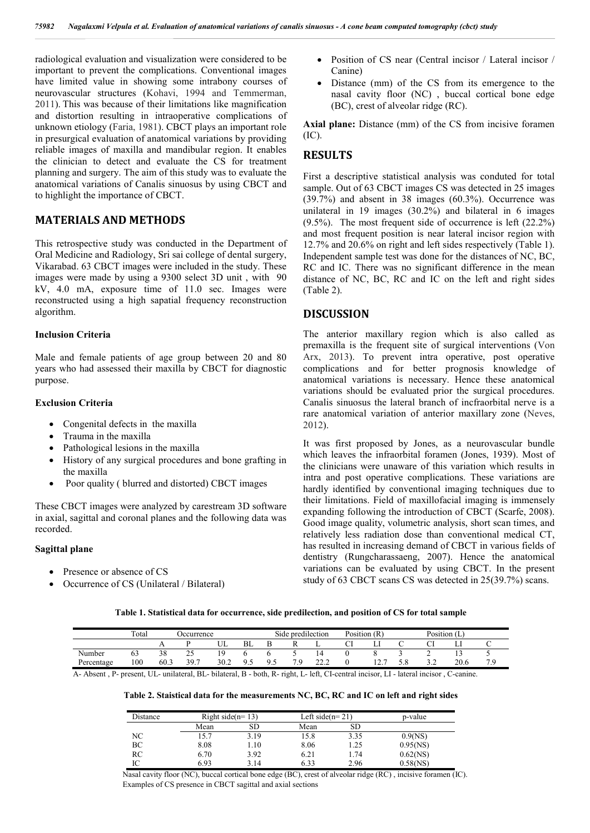radiological evaluation and visualization were considered to be important to prevent the complications. Conventional images have limited value in showing some intrabony courses of neurovascular structures (Kohavi, 1994 and Temmerman, 2011). This was because of their limitations like magnification and distortion resulting in intraoperative complications of unknown etiology (Faria, 1981). CBCT plays an important role in presurgical evaluation of anatomical variations by providing reliable images of maxilla and mandibular region. It enables the clinician to detect and evaluate the CS for treatment planning and surgery. The aim of this study was to evaluate the anatomical variations of Canalis sinuosus by using CBCT and to highlight the importance of CBCT.

## **MATERIALS AND METHODS**

This retrospective study was conducted in the Department of Oral Medicine and Radiology, Sri sai college of dental surgery, Vikarabad. 63 CBCT images were included in the study. These images were made by using a 9300 select 3D unit , with 90 kV, 4.0 mA, exposure time of 11.0 sec. Images were reconstructed using a high sapatial frequency reconstruction algorithm.

#### **Inclusion Criteria**

Male and female patients of age group between 20 and 80 years who had assessed their maxilla by CBCT for diagnostic purpose.

### **Exclusion Criteria**

- Congenital defects in the maxilla
- Trauma in the maxilla
- Pathological lesions in the maxilla
- History of any surgical procedures and bone grafting in the maxilla
- Poor quality ( blurred and distorted) CBCT images

These CBCT images were analyzed by carestream 3D software in axial, sagittal and coronal planes and the following data was recorded.

#### **Sagittal plane**

- Presence or absence of CS
- Occurrence of CS (Unilateral / Bilateral)
- Position of CS near (Central incisor / Lateral incisor / Canine)
- Distance (mm) of the CS from its emergence to the nasal cavity floor (NC) , buccal cortical bone edge (BC), crest of alveolar ridge (RC).

**Axial plane:** Distance (mm) of the CS from incisive foramen (IC).

## **RESULTS**

First a descriptive statistical analysis was conduted for total sample. Out of 63 CBCT images CS was detected in 25 images (39.7%) and absent in 38 images (60.3%). Occurrence was unilateral in 19 images (30.2%) and bilateral in 6 images (9.5%). The most frequent side of occurrence is left (22.2%) and most frequent position is near lateral incisor region with 12.7% and 20.6% on right and left sides respectively (Table 1). Independent sample test was done for the distances of NC, BC, RC and IC. There was no significant difference in the mean distance of NC, BC, RC and IC on the left and right sides (Table 2).

## **DISCUSSION**

The anterior maxillary region which is also called as premaxilla is the frequent site of surgical interventions (Von Arx, 2013). To prevent intra operative, post operative complications and for better prognosis knowledge of anatomical variations is necessary. Hence these anatomical variations should be evaluated prior the surgical procedures. Canalis sinuosus the lateral branch of incfraorbital nerve is a rare anatomical variation of anterior maxillary zone (Neves, 2012).

It was first proposed by Jones, as a neurovascular bundle which leaves the infraorbital foramen (Jones, 1939). Most of the clinicians were unaware of this variation which results in intra and post operative complications. These variations are hardly identified by conventional imaging techniques due to their limitations. Field of maxillofacial imaging is immensely expanding following the introduction of CBCT (Scarfe, 2008). Good image quality, volumetric analysis, short scan times, and relatively less radiation dose than conventional medical CT, has resulted in increasing demand of CBCT in various fields of dentistry (Rungcharassaeng, 2007). Hence the anatomical variations can be evaluated by using CBCT. In the present study of 63 CBCT scans CS was detected in 25(39.7%) scans.

| Table 1. Statistical data for occurrence, side predilection, and position of CS for total sample |  |  |  |
|--------------------------------------------------------------------------------------------------|--|--|--|
|--------------------------------------------------------------------------------------------------|--|--|--|

|            | Total | Jecurrence     |                      |      | Side predilection |     |          | Position (R)   |  |            | Position (L) |   |      |  |
|------------|-------|----------------|----------------------|------|-------------------|-----|----------|----------------|--|------------|--------------|---|------|--|
|            |       | $\overline{1}$ |                      | UL   | BL                |     |          | ∸              |  | ⊷          |              |   | ⊥⊥   |  |
| Number     | 63    | 38             | $\sim$ $\sim$<br>ل ک | 19   |                   |     |          | $\overline{a}$ |  |            |              | ∸ |      |  |
| Percentage | 100   | 60.3           | 39.7                 | 30.2 | $\Omega$<br>.     | 9.5 | 7 Q<br>. | າາ າ<br>44.L   |  | $1^{\sim}$ | ັບ.ບ         |   | 20.6 |  |

A- Absent , P- present, UL- unilateral, BL- bilateral, B - both, R- right, L- left, CI-central incisor, LI - lateral incisor , C-canine.

#### **Table 2. Staistical data for the measurements NC, BC, RC and IC on left and right sides**

| Distance |      | Right side( $n=13$ ) |      | Left side( $n=21$ ) | p-value     |
|----------|------|----------------------|------|---------------------|-------------|
|          | Mean | SD                   | Mean | SD                  |             |
| NC       | 5.7  | 3.19                 | 15.8 | 3.35                | 0.9(NS)     |
| BC       | 8.08 | l.10                 | 8.06 | 1.25                | 0.95(NS)    |
| RC       | 6.70 | 3.92                 | 6.21 | 1.74                | $0.62$ (NS) |
| IC       | 6.93 | 3.14                 | 6.33 | 2.96                | $0.58$ (NS) |

Nasal cavity floor (NC), buccal cortical bone edge (BC), crest of alveolar ridge (RC) , incisive foramen (IC). Examples of CS presence in CBCT sagittal and axial sections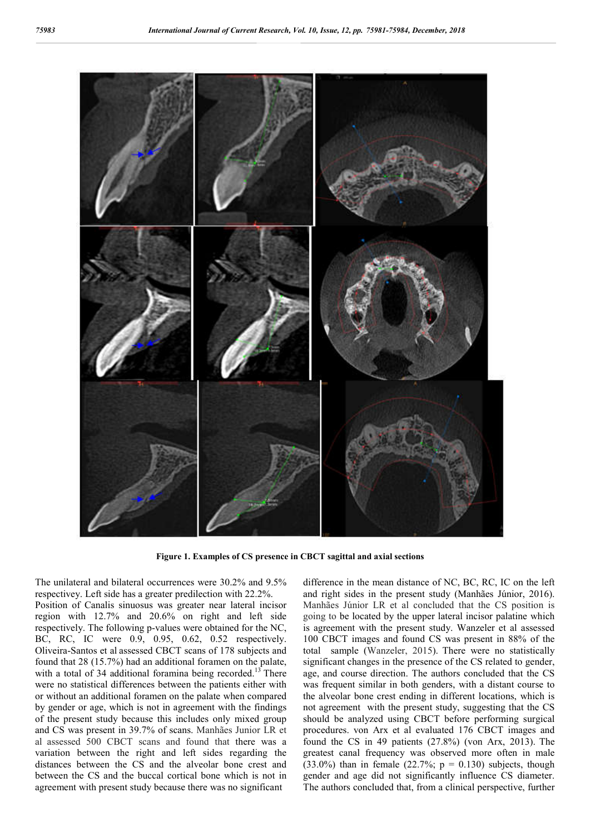

**Figure 1. Examples of CS presence in CBCT sagittal and axial sections**

The unilateral and bilateral occurrences were 30.2% and 9.5% respectivey. Left side has a greater predilection with 22.2%. Position of Canalis sinuosus was greater near lateral incisor region with 12.7% and 20.6% on right and left side respectively. The following p-values were obtained for the NC, BC, RC, IC were 0.9, 0.95, 0.62, 0.52 respectively. Oliveira-Santos et al assessed CBCT scans of 178 subjects and found that 28 (15.7%) had an additional foramen on the palate, with a total of 34 additional foramina being recorded.<sup>13</sup> There were no statistical differences between the patients either with or without an additional foramen on the palate when compared by gender or age, which is not in agreement with the findings of the present study because this includes only mixed group and CS was present in 39.7% of scans. Manhães Junior LR et al assessed 500 CBCT scans and found that there was a variation between the right and left sides regarding the distances between the CS and the alveolar bone crest and between the CS and the buccal cortical bone which is not in agreement with present study because there was no significant

difference in the mean distance of NC, BC, RC, IC on the left and right sides in the present study (Manhães Júnior, 2016). Manhães Júnior LR et al concluded that the CS position is going to be located by the upper lateral incisor palatine which is agreement with the present study. Wanzeler et al assessed 100 CBCT images and found CS was present in 88% of the total sample (Wanzeler, 2015). There were no statistically significant changes in the presence of the CS related to gender, age, and course direction. The authors concluded that the CS was frequent similar in both genders, with a distant course to the alveolar bone crest ending in different locations, which is not agreement with the present study, suggesting that the CS should be analyzed using CBCT before performing surgical procedures. von Arx et al evaluated 176 CBCT images and found the CS in 49 patients (27.8%) (von Arx, 2013). The greatest canal frequency was observed more often in male (33.0%) than in female (22.7%;  $p = 0.130$ ) subjects, though gender and age did not significantly influence CS diameter. The authors concluded that, from a clinical perspective, further